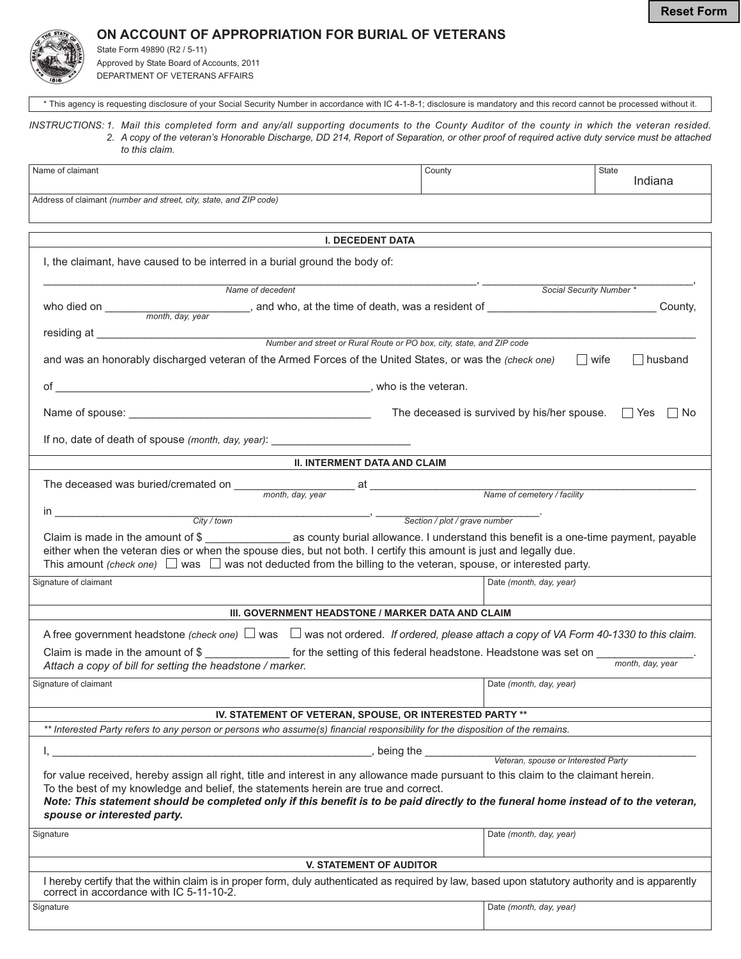**Reset Form**

## ON ACCOUNT OF APPROPRIATION FOR BURIAL OF VETERANS

State Form 49890 (R2 / 5-11) Approved by State Board of Accounts, 2011 DEPARTMENT OF VETERANS AFFAIRS

to this claim.

**I. DECEDENT DATA** Name of claim ant the country of the country of the country of the country of the country of the country of the country of the country of the country of the country of the country of the country of the country of the country of the coun State Indiana Address of claimant (number and street, city, state, and ZIP code) I, the claimant, have caused to be interred in a burial ground the body of: 888888888888888888888888888888888888888888888888888888888888888888888888#88888888888888888888888888888888888# who died on \_\_\_\_\_\_\_\_\_\_\_\_\_\_\_\_\_\_\_\_\_\_\_\_\_, and who, at the time of death, was a resident of \_\_\_\_\_\_\_\_\_\_\_\_\_\_\_\_\_\_\_\_\_\_\_\_\_County, "--!.888888888888888888888888888888888888888888888888888888888888888888888888888888888888888888888888888 *#+

 # #
 0 +3  
 /0 Name of deced i* Social Security Number \* month, day, year

\* This agency is requesting disclosure of your Social Security Number in accordance with IC 4-1-8-1; disclosure is mandatory and this record cannot be processed without it. INSTRUCTIONS: 1. Mail this completed form and any/all supporting documents to the County Auditor of the county in which the veteran resided.

2. A copy of the veteran's Honorable Discharge, DD 214, Report of Separation, or other proof of required active duty service must be attached

| and was an honorably discharged veteran of the Armed Forces of the United States, or was the (check one) |                       | wife | husband |
|----------------------------------------------------------------------------------------------------------|-----------------------|------|---------|
| ∩t                                                                                                       | . who is the veteran. |      |         |

" "78888888888888888888888888888888888888888 '1"-"" -1-"1 " "6:")

| Name of spouse: |  |
|-----------------|--|
|-----------------|--|

If no, date of death of spouse (month, day, year): \_\_\_\_\_\_\_\_\_\_\_\_\_\_\_\_\_\_\_\_\_\_\_\_\_\_\_\_\_

## **II. INTERMENT DATA AND CLAIM**

| The deceased was buried/cremated on<br>month, day, year                                                                                                                                                                                                                                                                                                                     | at<br>Name of cemetery / facility |  |  |
|-----------------------------------------------------------------------------------------------------------------------------------------------------------------------------------------------------------------------------------------------------------------------------------------------------------------------------------------------------------------------------|-----------------------------------|--|--|
| City / town                                                                                                                                                                                                                                                                                                                                                                 | Section / plot / grave number     |  |  |
| Claim is made in the amount of \$<br>as county burial allowance. I understand this benefit is a one-time payment, payable<br>either when the veteran dies or when the spouse dies, but not both. I certify this amount is just and legally due.<br>This amount (check one) $\Box$ was $\Box$ was not deducted from the billing to the veteran, spouse, or interested party. |                                   |  |  |
| Signature of claimant                                                                                                                                                                                                                                                                                                                                                       | Date (month, day, year)           |  |  |

## III. GOVERNMENT HEADSTONE / MARKER DATA AND CLAIM

| A free government headstone (check one) $\Box$ was $\Box$ was not ordered. If ordered, please attach a copy of VA Form 40-1330 to this claim. |                                                                 |                         |                  |
|-----------------------------------------------------------------------------------------------------------------------------------------------|-----------------------------------------------------------------|-------------------------|------------------|
| Claim is made in the amount of \$                                                                                                             | for the setting of this federal headstone. Headstone was set on |                         | month, day, year |
| Attach a copy of bill for setting the headstone / marker.                                                                                     |                                                                 |                         |                  |
| Signature of claimant                                                                                                                         |                                                                 | Date (month, day, year) |                  |

## IV. STATEMENT OF VETERAN, SPOUSE, OR INTERESTED PARTY \*\*

\*\* Interested Party refers to any person or persons who assume(s) financial responsibility for the disposition of the remains.

 $\mu$ , being the  $\mu$ 

Veteran, spouse or Interested Party

for value received, hereby assign all right, title and interest in any allowance made pursuant to this claim to the claimant herein. To the best of my knowledge and belief, the statements herein are true and correct.

|                             |  |  |  | Note: This statement should be completed only if this benefit is to be paid directly to the funeral home instead of to the veteran, |  |
|-----------------------------|--|--|--|-------------------------------------------------------------------------------------------------------------------------------------|--|
| spouse or interested party. |  |  |  |                                                                                                                                     |  |

| Signature                                                                                                                                                                                     | Date (month, day, year) |  |  |  |  |
|-----------------------------------------------------------------------------------------------------------------------------------------------------------------------------------------------|-------------------------|--|--|--|--|
|                                                                                                                                                                                               |                         |  |  |  |  |
| <b>V. STATEMENT OF AUDITOR</b>                                                                                                                                                                |                         |  |  |  |  |
| I hereby certify that the within claim is in proper form, duly authenticated as required by law, based upon statutory authority and is apparently<br>correct in accordance with IC 5-11-10-2. |                         |  |  |  |  |
| Signature                                                                                                                                                                                     | Date (month, day, year) |  |  |  |  |